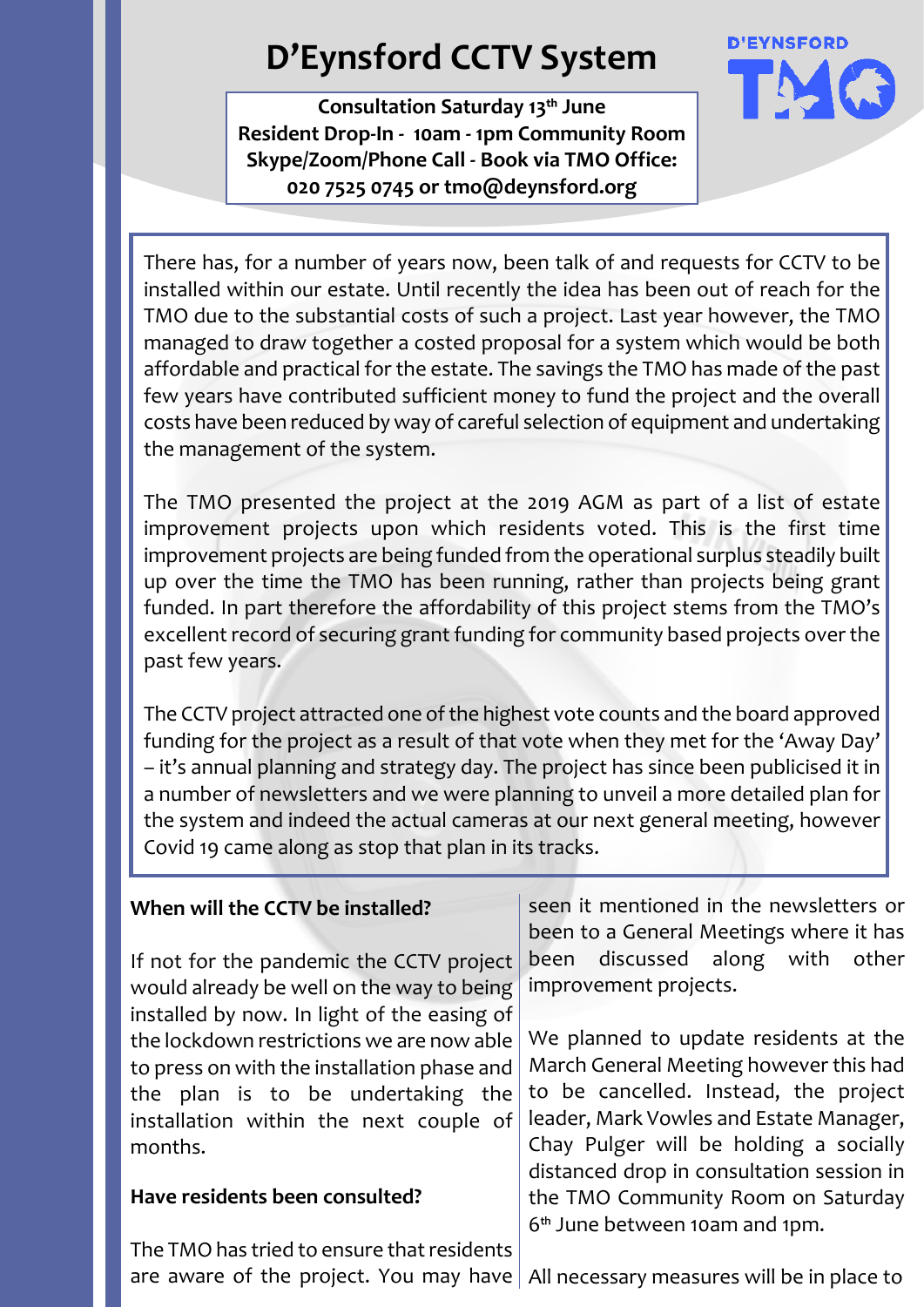# **D'Eynsford CCTV System**

**Consultation Saturday 13th June Resident Drop-In - 10am - 1pm Community Room Skype/Zoom/Phone Call - Book via TMO Office: 020 7525 0745 or tmo@deynsford.org**



There has, for a number of years now, been talk of and requests for CCTV to be installed within our estate. Until recently the idea has been out of reach for the TMO due to the substantial costs of such a project. Last year however, the TMO managed to draw together a costed proposal for a system which would be both affordable and practical for the estate. The savings the TMO has made of the past few years have contributed sufficient money to fund the project and the overall costs have been reduced by way of careful selection of equipment and undertaking the management of the system.

The TMO presented the project at the 2019 AGM as part of a list of estate improvement projects upon which residents voted. This is the first time improvement projects are being funded from the operational surplus steadily built up over the time the TMO has been running, rather than projects being grant funded. In part therefore the affordability of this project stems from the TMO's excellent record of securing grant funding for community based projects over the past few years.

The CCTV project attracted one of the highest vote counts and the board approved funding for the project as a result of that vote when they met for the 'Away Day' – it's annual planning and strategy day. The project has since been publicised it in a number of newsletters and we were planning to unveil a more detailed plan for the system and indeed the actual cameras at our next general meeting, however Covid 19 came along as stop that plan in its tracks.

### **When will the CCTV be installed?**

If not for the pandemic the CCTV project would already be well on the way to being installed by now. In light of the easing of the lockdown restrictions we are now able to press on with the installation phase and the plan is to be undertaking the installation within the next couple of months.

#### **Have residents been consulted?**

The TMO has tried to ensure that residents

seen it mentioned in the newsletters or been to a General Meetings where it has been discussed along with other improvement projects.

We planned to update residents at the March General Meeting however this had to be cancelled. Instead, the project leader, Mark Vowles and Estate Manager, Chay Pulger will be holding a socially distanced drop in consultation session in the TMO Community Room on Saturday 6th June between 10am and 1pm.

are aware of the project. You may have  $|$  All necessary measures will be in place to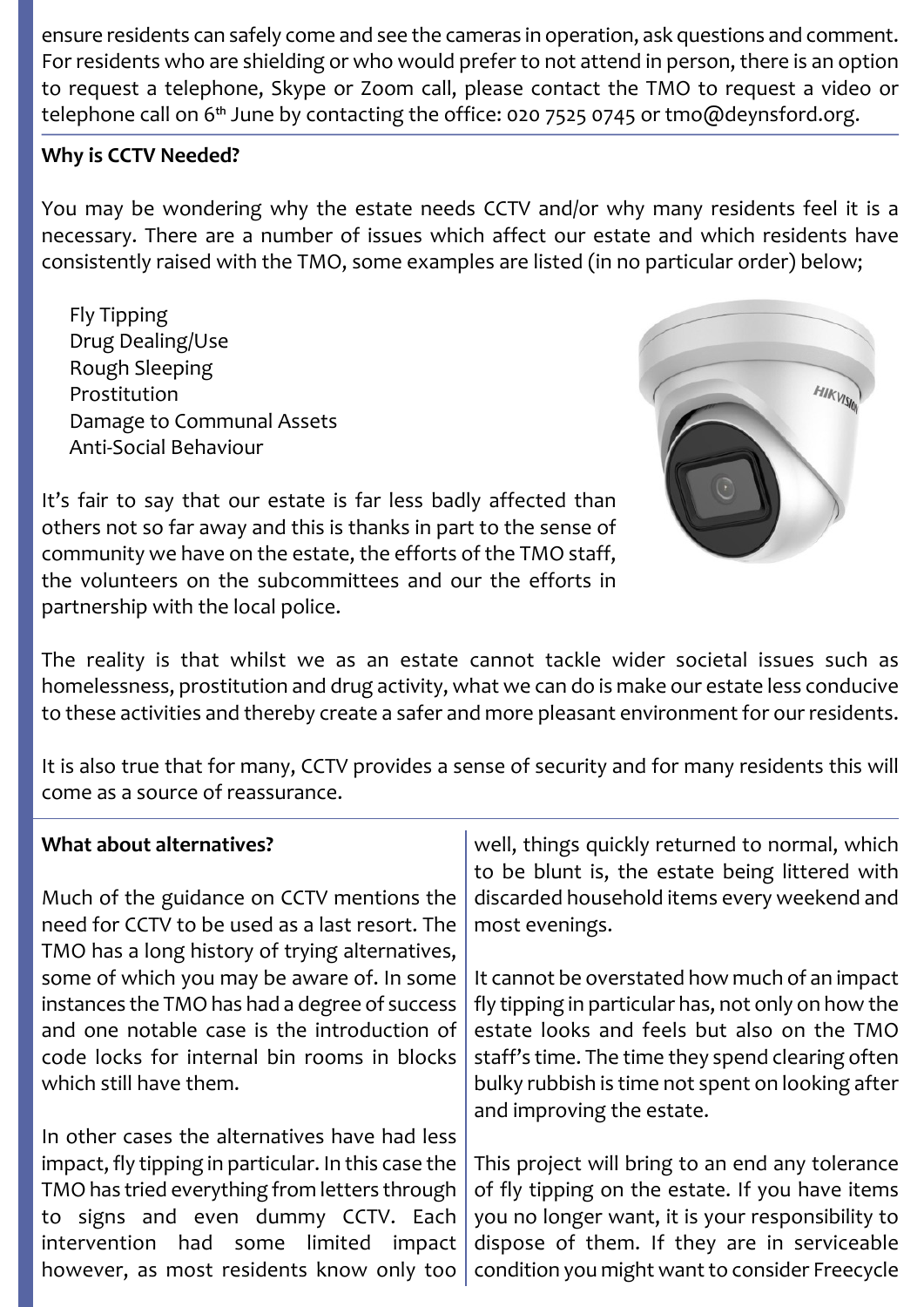ensure residents can safely come and see the cameras in operation, ask questions and comment. For residents who are shielding or who would prefer to not attend in person, there is an option to request a telephone, Skype or Zoom call, please contact the TMO to request a video or telephone call on 6<sup>th</sup> June by contacting the office: 020 7525 0745 or tmo@deynsford.org.

# **Why is CCTV Needed?**

You may be wondering why the estate needs CCTV and/or why many residents feel it is a necessary. There are a number of issues which affect our estate and which residents have consistently raised with the TMO, some examples are listed (in no particular order) below;

 Fly Tipping Drug Dealing/Use Rough Sleeping Prostitution Damage to Communal Assets Anti-Social Behaviour



It's fair to say that our estate is far less badly affected than others not so far away and this is thanks in part to the sense of community we have on the estate, the efforts of the TMO staff, the volunteers on the subcommittees and our the efforts in partnership with the local police.

The reality is that whilst we as an estate cannot tackle wider societal issues such as homelessness, prostitution and drug activity, what we can do is make our estate less conducive to these activities and thereby create a safer and more pleasant environment for our residents.

It is also true that for many, CCTV provides a sense of security and for many residents this will come as a source of reassurance.

| What about alternatives?                            | well, things quickly returned to normal, which<br>to be blunt is, the estate being littered with |
|-----------------------------------------------------|--------------------------------------------------------------------------------------------------|
| Much of the guidance on CCTV mentions the           | discarded household items every weekend and                                                      |
| need for CCTV to be used as a last resort. The      | most evenings.                                                                                   |
| TMO has a long history of trying alternatives,      |                                                                                                  |
| some of which you may be aware of. In some          | It cannot be overstated how much of an impact                                                    |
| instances the TMO has had a degree of success       | fly tipping in particular has, not only on how the                                               |
| and one notable case is the introduction of         | estate looks and feels but also on the TMO                                                       |
| code locks for internal bin rooms in blocks         | staff's time. The time they spend clearing often                                                 |
| which still have them.                              | bulky rubbish is time not spent on looking after                                                 |
|                                                     | and improving the estate.                                                                        |
| In other cases the alternatives have had less       |                                                                                                  |
| impact, fly tipping in particular. In this case the | This project will bring to an end any tolerance                                                  |
| TMO has tried everything from letters through       | of fly tipping on the estate. If you have items                                                  |
| to signs and even dummy CCTV. Each                  | you no longer want, it is your responsibility to                                                 |
| limited<br>intervention had some<br>impact          | dispose of them. If they are in serviceable                                                      |
| however, as most residents know only too            | condition you might want to consider Freecycle                                                   |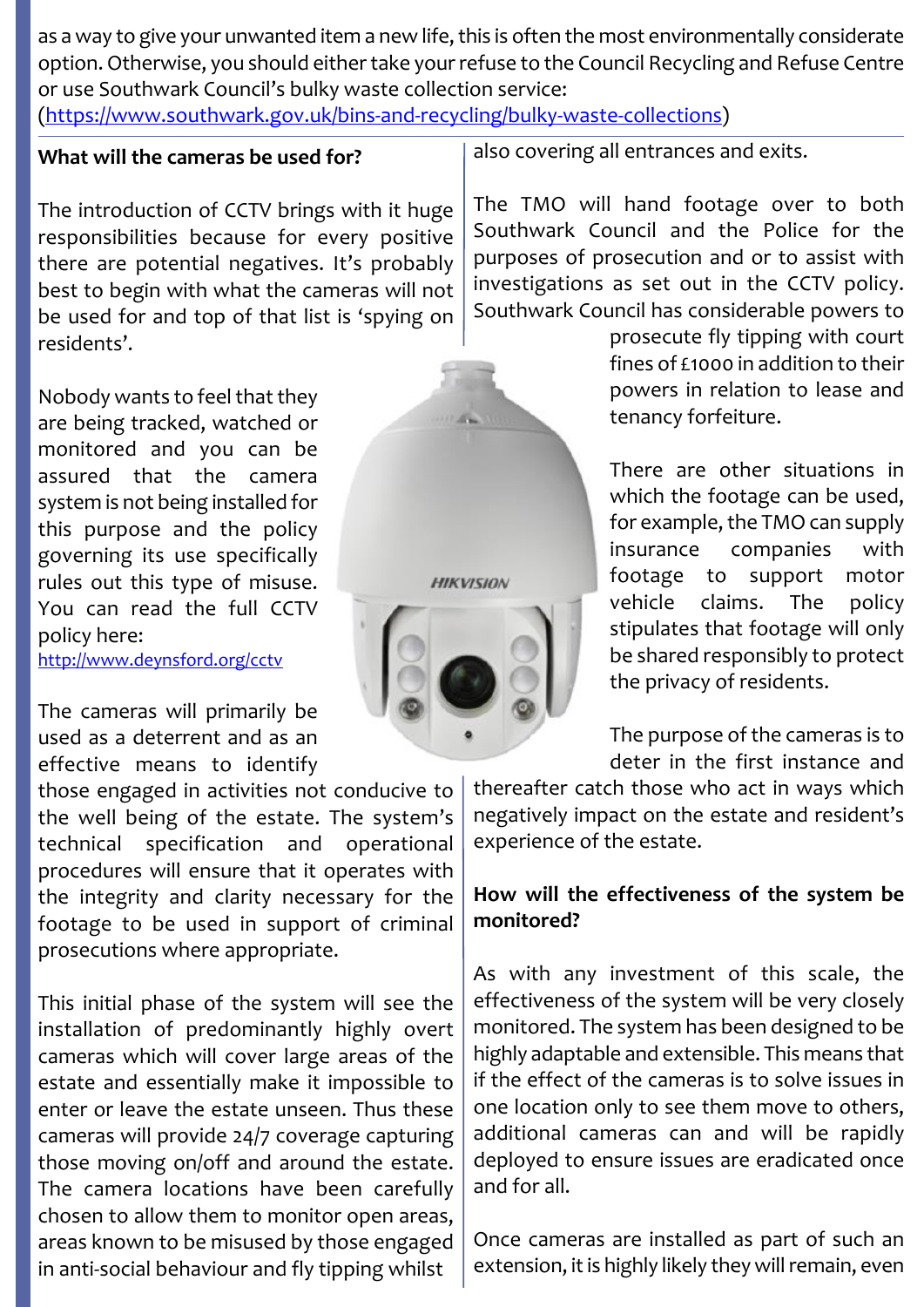as a way to give your unwanted item a new life, this is often the most environmentally considerate option. Otherwise, you should either take your refuse to the Council Recycling and Refuse Centre or use Southwark Council's bulky waste collection service: (https://www.southwark.gov.uk/bins-and-recycling/bulky-waste-collections)

#### **What will the cameras be used for?**

The introduction of CCTV brings with it huge responsibilities because for every positive there are potential negatives. It's probably best to begin with what the cameras will not be used for and top of that list is 'spying on residents'.

Nobody wants to feel that they are being tracked, watched or monitored and you can be assured that the camera system is not being installed for this purpose and the policy governing its use specifically rules out this type of misuse. You can read the full CCTV policy here:

http://www.deynsford.org/cctv

The cameras will primarily be used as a deterrent and as an effective means to identify

those engaged in activities not conducive to the well being of the estate. The system's technical specification and operational procedures will ensure that it operates with the integrity and clarity necessary for the footage to be used in support of criminal prosecutions where appropriate.

This initial phase of the system will see the installation of predominantly highly overt cameras which will cover large areas of the estate and essentially make it impossible to enter or leave the estate unseen. Thus these cameras will provide 24/7 coverage capturing those moving on/off and around the estate. The camera locations have been carefully chosen to allow them to monitor open areas, areas known to be misused by those engaged in anti-social behaviour and fly tipping whilst



also covering all entrances and exits.

The TMO will hand footage over to both Southwark Council and the Police for the purposes of prosecution and or to assist with investigations as set out in the CCTV policy. Southwark Council has considerable powers to

> prosecute fly tipping with court fines of £1000 in addition to their powers in relation to lease and tenancy forfeiture.

> There are other situations in which the footage can be used, for example, the TMO can supply insurance companies with footage to support motor vehicle claims. The policy stipulates that footage will only be shared responsibly to protect the privacy of residents.

> The purpose of the cameras is to deter in the first instance and

thereafter catch those who act in ways which negatively impact on the estate and resident's experience of the estate.

## **How will the effectiveness of the system be monitored?**

As with any investment of this scale, the effectiveness of the system will be very closely monitored. The system has been designed to be highly adaptable and extensible. This means that if the effect of the cameras is to solve issues in one location only to see them move to others, additional cameras can and will be rapidly deployed to ensure issues are eradicated once and for all.

Once cameras are installed as part of such an extension, it is highly likely they will remain, even